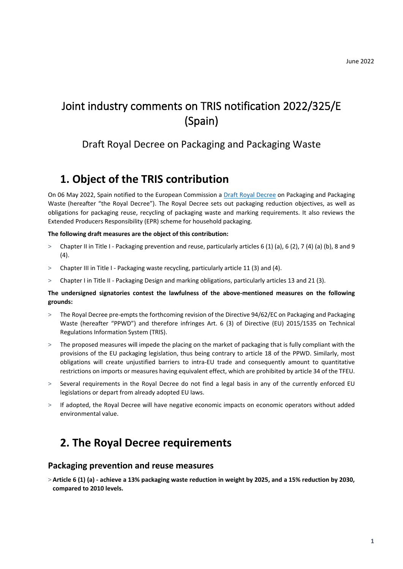# Joint industry comments on TRIS notification 2022/325/E (Spain)

## Draft Royal Decree on Packaging and Packaging Waste

# **1. Object of the TRIS contribution**

On 06 May 2022, Spain notified to the European Commission [a Draft Royal Decree](https://ec.europa.eu/growth/tools-databases/tris/es/search/?trisaction=search.detail&year=2022&num=325) on Packaging and Packaging Waste (hereafter "the Royal Decree"). The Royal Decree sets out packaging reduction objectives, as well as obligations for packaging reuse, recycling of packaging waste and marking requirements. It also reviews the Extended Producers Responsibility (EPR) scheme for household packaging.

#### **The following draft measures are the object of this contribution:**

- > Chapter II in Title I Packaging prevention and reuse, particularly articles 6 (1) (a), 6 (2), 7 (4) (a) (b), 8 and 9 (4).
- > Chapter III in Title I Packaging waste recycling, particularly article 11 (3) and (4).
- > Chapter I in Title II Packaging Design and marking obligations, particularly articles 13 and 21 (3).

#### **The undersigned signatories contest the lawfulness of the above-mentioned measures on the following grounds:**

- > The Royal Decree pre-empts the forthcoming revision of the Directive 94/62/EC on Packaging and Packaging Waste (hereafter "PPWD") and therefore infringes Art. 6 (3) of Directive (EU) 2015/1535 on Technical Regulations Information System (TRIS).
- > The proposed measures will impede the placing on the market of packaging that is fully compliant with the provisions of the EU packaging legislation, thus being contrary to article 18 of the PPWD. Similarly, most obligations will create unjustified barriers to intra-EU trade and consequently amount to quantitative restrictions on imports or measures having equivalent effect, which are prohibited by article 34 of the TFEU.
- > Several requirements in the Royal Decree do not find a legal basis in any of the currently enforced EU legislations or depart from already adopted EU laws.
- > If adopted, the Royal Decree will have negative economic impacts on economic operators without added environmental value.

## **2. The Royal Decree requirements**

### **Packaging prevention and reuse measures**

> **Article 6 (1) (a) - achieve a 13% packaging waste reduction in weight by 2025, and a 15% reduction by 2030, compared to 2010 levels.**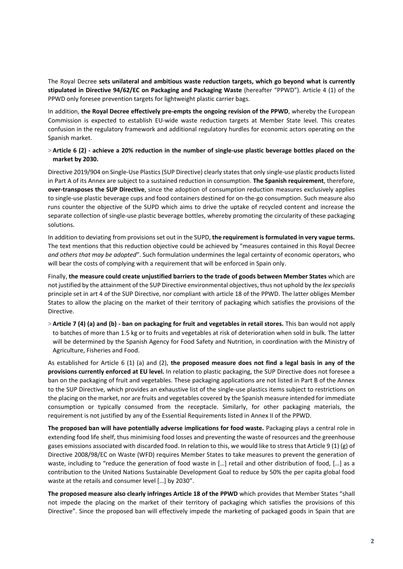The Royal Decree **sets unilateral and ambitious waste reduction targets, which go beyond what is currently stipulated in Directive 94/62/EC on Packaging and Packaging Waste** (hereafter "PPWD"). Article 4 (1) of the PPWD only foresee prevention targets for lightweight plastic carrier bags.

In addition, **the Royal Decree effectively pre-empts the ongoing revision of the PPWD**, whereby the European Commission is expected to establish EU-wide waste reduction targets at Member State level. This creates confusion in the regulatory framework and additional regulatory hurdles for economic actors operating on the Spanish market.

#### > **Article 6 (2) - achieve a 20% reduction in the number of single-use plastic beverage bottles placed on the market by 2030.**

Directive 2019/904 on Single-Use Plastics (SUP Directive) clearly states that only single-use plastic products listed in Part A of its Annex are subject to a sustained reduction in consumption. **The Spanish requirement**, therefore, **over-transposes the SUP Directive**, since the adoption of consumption reduction measures exclusively applies to single-use plastic beverage cups and food containers destined for on-the-go consumption. Such measure also runs counter the objective of the SUPD which aims to drive the uptake of recycled content and increase the separate collection of single-use plastic beverage bottles, whereby promoting the circularity of these packaging solutions.

In addition to deviating from provisions set out in the SUPD, **the requirement is formulated in very vague terms.** The text mentions that this reduction objective could be achieved by "measures contained in this Royal Decree *and others that may be adopted*". Such formulation undermines the legal certainty of economic operators, who will bear the costs of complying with a requirement that will be enforced in Spain only.

Finally, **the measure could create unjustified barriers to the trade of goods between Member States** which are not justified by the attainment of the SUP Directive environmental objectives, thus not uphold by the *lex specialis* principle set in art 4 of the SUP Directive, nor compliant with article 18 of the PPWD. The latter obliges Member States to allow the placing on the market of their territory of packaging which satisfies the provisions of the Directive.

> **Article 7 (4) (a) and (b) - ban on packaging for fruit and vegetables in retail stores.** This ban would not apply to batches of more than 1.5 kg or to fruits and vegetables at risk of deterioration when sold in bulk. The latter will be determined by the Spanish Agency for Food Safety and Nutrition, in coordination with the Ministry of Agriculture, Fisheries and Food.

As established for Article 6 (1) (a) and (2), **the proposed measure does not find a legal basis in any of the provisions currently enforced at EU level.** In relation to plastic packaging, the SUP Directive does not foresee a ban on the packaging of fruit and vegetables. These packaging applications are not listed in Part B of the Annex to the SUP Directive, which provides an exhaustive list of the single-use plastics items subject to restrictions on the placing on the market, nor are fruits and vegetables covered by the Spanish measure intended for immediate consumption or typically consumed from the receptacle. Similarly, for other packaging materials, the requirement is not justified by any of the Essential Requirements listed in Annex II of the PPWD.

**The proposed ban will have potentially adverse implications for food waste.** Packaging plays a central role in extending food life shelf, thus minimising food losses and preventing the waste of resources and the greenhouse gases emissions associated with discarded food. In relation to this, we would like to stress that Article 9 (1) (g) of Directive 2008/98/EC on Waste (WFD) requires Member States to take measures to prevent the generation of waste, including to "reduce the generation of food waste in […] retail and other distribution of food, […] as a contribution to the United Nations Sustainable Development Goal to reduce by 50% the per capita global food waste at the retails and consumer level […] by 2030".

**The proposed measure also clearly infringes Article 18 of the PPWD** which provides that Member States "shall not impede the placing on the market of their territory of packaging which satisfies the provisions of this Directive". Since the proposed ban will effectively impede the marketing of packaged goods in Spain that are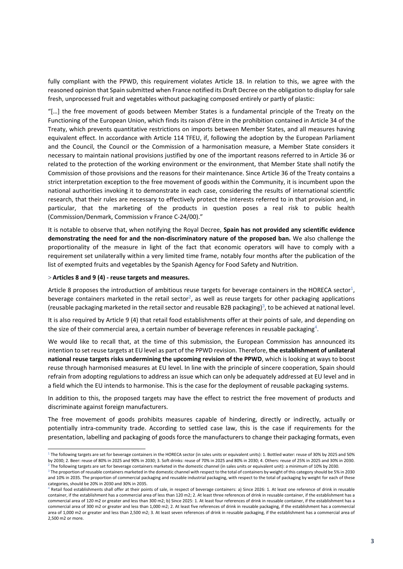fully compliant with the PPWD, this requirement violates Article 18. In relation to this, we agree with the reasoned opinion that Spain submitted when France notified its Draft Decree on the obligation to display for sale fresh, unprocessed fruit and vegetables without packaging composed entirely or partly of plastic:

"[…] the free movement of goods between Member States is a fundamental principle of the Treaty on the Functioning of the European Union, which finds its raison d'être in the prohibition contained in Article 34 of the Treaty, which prevents quantitative restrictions on imports between Member States, and all measures having equivalent effect. In accordance with Article 114 TFEU, if, following the adoption by the European Parliament and the Council, the Council or the Commission of a harmonisation measure, a Member State considers it necessary to maintain national provisions justified by one of the important reasons referred to in Article 36 or related to the protection of the working environment or the environment, that Member State shall notify the Commission of those provisions and the reasons for their maintenance. Since Article 36 of the Treaty contains a strict interpretation exception to the free movement of goods within the Community, it is incumbent upon the national authorities invoking it to demonstrate in each case, considering the results of international scientific research, that their rules are necessary to effectively protect the interests referred to in that provision and, in particular, that the marketing of the products in question poses a real risk to public health (Commission/Denmark, Commission v France C-24/00)."

It is notable to observe that, when notifying the Royal Decree, **Spain has not provided any scientific evidence demonstrating the need for and the non-discriminatory nature of the proposed ban.** We also challenge the proportionality of the measure in light of the fact that economic operators will have to comply with a requirement set unilaterally within a very limited time frame, notably four months after the publication of the list of exempted fruits and vegetables by the Spanish Agency for Food Safety and Nutrition.

#### > **Articles 8 and 9 (4) - reuse targets and measures.**

Article 8 proposes the introduction of ambitious reuse targets for beverage containers in the HORECA sector<sup>1</sup>, beverage containers marketed in the retail sector<sup>2</sup>, as well as reuse targets for other packaging applications (reusable packaging marketed in the retail sector and reusable B2B packaging)<sup>3</sup>, to be achieved at national level.

It is also required by Article 9 (4) that retail food establishments offer at their points of sale, and depending on the size of their commercial area, a certain number of beverage references in reusable packaging<sup>4</sup>.

We would like to recall that, at the time of this submission, the European Commission has announced its intention to set reuse targets at EU level as part of the PPWD revision. Therefore, **the establishment of unilateral national reuse targets risks undermining the upcoming revision of the PPWD**, which is looking at ways to boost reuse through harmonised measures at EU level. In line with the principle of sincere cooperation, Spain should refrain from adopting regulations to address an issue which can only be adequately addressed at EU level and in a field which the EU intends to harmonise. This is the case for the deployment of reusable packaging systems.

In addition to this, the proposed targets may have the effect to restrict the free movement of products and discriminate against foreign manufacturers.

The free movement of goods prohibits measures capable of hindering, directly or indirectly, actually or potentially intra-community trade. According to settled case law, this is the case if requirements for the presentation, labelling and packaging of goods force the manufacturers to change their packaging formats, even

<sup>1</sup> The following targets are set for beverage containers in the HORECA sector (in sales units or equivalent units): 1. Bottled water: reuse of 30% by 2025 and 50% by 2030; 2. Beer: reuse of 80% in 2025 and 90% in 2030; 3. Soft drinks: reuse of 70% in 2025 and 80% in 2030; 4. Others: reuse of 25% in 2025 and 30% in 2030.  $^2$  The following targets are set for beverage containers marketed in the domestic channel (in sales units or equivalent unit): a minimum of 10% by 2030.

<sup>&</sup>lt;sup>3</sup> The proportion of reusable containers marketed in the domestic channel with respect to the total of containers by weight of this category should be 5% in 2030 and 10% in 2035. The proportion of commercial packaging and reusable industrial packaging, with respect to the total of packaging by weight for each of these categories, should be 20% in 2030 and 30% in 2035.

<sup>4</sup> Retail food establishments shall offer at their points of sale, in respect of beverage containers: a) Since 2026: 1. At least one reference of drink in reusable container, if the establishment has a commercial area of less than 120 m2; 2. At least three references of drink in reusable container, if the establishment has a commercial area of 120 m2 or greater and less than 300 m2; b) Since 2025: 1. At least four references of drink in reusable container, if the establishment has a commercial area of 300 m2 or greater and less than 1,000 m2; 2. At least five references of drink in reusable packaging, if the establishment has a commercial area of 1,000 m2 or greater and less than 2,500 m2; 3. At least seven references of drink in reusable packaging, if the establishment has a commercial area of 2,500 m2 or more.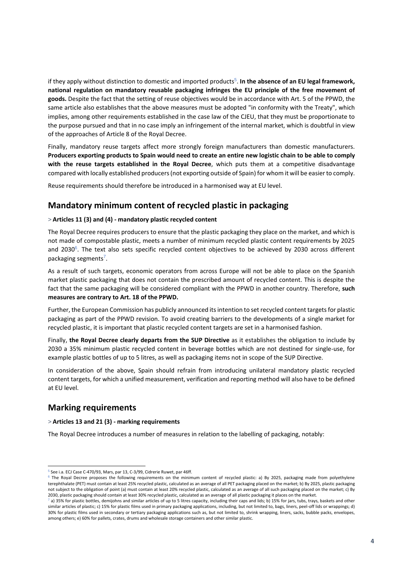if they apply without distinction to domestic and imported products<sup>5</sup>. In the absence of an EU legal framework, **national regulation on mandatory reusable packaging infringes the EU principle of the free movement of goods.** Despite the fact that the setting of reuse objectives would be in accordance with Art. 5 of the PPWD, the same article also establishes that the above measures must be adopted "in conformity with the Treaty", which implies, among other requirements established in the case law of the CJEU, that they must be proportionate to the purpose pursued and that in no case imply an infringement of the internal market, which is doubtful in view of the approaches of Article 8 of the Royal Decree.

Finally, mandatory reuse targets affect more strongly foreign manufacturers than domestic manufacturers. **Producers exporting products to Spain would need to create an entire new logistic chain to be able to comply with the reuse targets established in the Royal Decree**, which puts them at a competitive disadvantage compared with locally established producers (not exporting outside of Spain) for whom it will be easier to comply.

Reuse requirements should therefore be introduced in a harmonised way at EU level.

### **Mandatory minimum content of recycled plastic in packaging**

#### > **Articles 11 (3) and (4) - mandatory plastic recycled content**

The Royal Decree requires producers to ensure that the plastic packaging they place on the market, and which is not made of compostable plastic, meets a number of minimum recycled plastic content requirements by 2025 and 2030 $^{\circ}$ . The text also sets specific recycled content objectives to be achieved by 2030 across different packaging segments<sup>7</sup>.

As a result of such targets, economic operators from across Europe will not be able to place on the Spanish market plastic packaging that does not contain the prescribed amount of recycled content. This is despite the fact that the same packaging will be considered compliant with the PPWD in another country. Therefore, **such measures are contrary to Art. 18 of the PPWD.**

Further, the European Commission has publicly announced its intention to set recycled content targets for plastic packaging as part of the PPWD revision. To avoid creating barriers to the developments of a single market for recycled plastic, it is important that plastic recycled content targets are set in a harmonised fashion.

Finally, **the Royal Decree clearly departs from the SUP Directive** as it establishes the obligation to include by 2030 a 35% minimum plastic recycled content in beverage bottles which are not destined for single-use, for example plastic bottles of up to 5 litres, as well as packaging items not in scope of the SUP Directive.

In consideration of the above, Spain should refrain from introducing unilateral mandatory plastic recycled content targets, for which a unified measurement, verification and reporting method will also have to be defined at EU level.

### **Marking requirements**

#### > **Articles 13 and 21 (3) - marking requirements**

The Royal Decree introduces a number of measures in relation to the labelling of packaging, notably:

<sup>5</sup> See i.a. ECJ Case C-470/93, Mars, par 13, C-3/99, Cidrerie Ruwet, par 46ff.

<sup>&</sup>lt;sup>6</sup> The Royal Decree proposes the following requirements on the minimum content of recycled plastic: a) By 2025, packaging made from polyethylene terephthalate (PET) must contain at least 25% recycled plastic, calculated as an average of all PET packaging placed on the market; b) By 2025, plastic packaging not subject to the obligation of point (a) must contain at least 20% recycled plastic, calculated as an average of all such packaging placed on the market; c) By 2030, plastic packaging should contain at least 30% recycled plastic, calculated as an average of all plastic packaging it places on the market.

 $^7$  a) 35% for plastic bottles, demijohns and similar articles of up to 5 litres capacity, including their caps and lids; b) 15% for jars, tubs, trays, baskets and other similar articles of plastic; c) 15% for plastic films used in primary packaging applications, including, but not limited to, bags, liners, peel-off lids or wrappings; d) 30% for plastic films used in secondary or tertiary packaging applications such as, but not limited to, shrink wrapping, liners, sacks, bubble packs, envelopes, among others; e) 60% for pallets, crates, drums and wholesale storage containers and other similar plastic.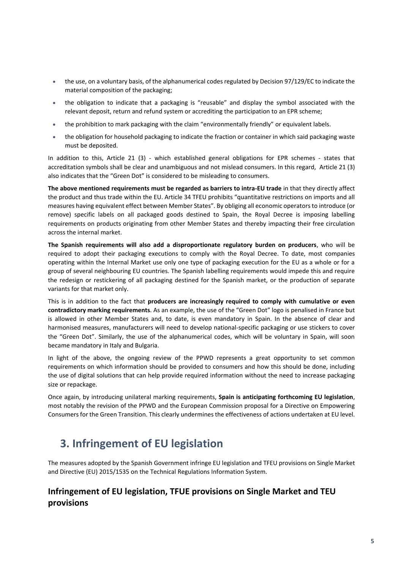- the use, on a voluntary basis, of the alphanumerical codes regulated by Decision 97/129/EC to indicate the material composition of the packaging;
- the obligation to indicate that a packaging is "reusable" and display the symbol associated with the relevant deposit, return and refund system or accrediting the participation to an EPR scheme;
- the prohibition to mark packaging with the claim "environmentally friendly" or equivalent labels.
- the obligation for household packaging to indicate the fraction or container in which said packaging waste must be deposited.

In addition to this, Article 21 (3) - which established general obligations for EPR schemes - states that accreditation symbols shall be clear and unambiguous and not mislead consumers. In this regard, Article 21 (3) also indicates that the "Green Dot" is considered to be misleading to consumers.

**The above mentioned requirements must be regarded as barriers to intra-EU trade** in that they directly affect the product and thus trade within the EU. Article 34 TFEU prohibits "quantitative restrictions on imports and all measures having equivalent effect between Member States". By obliging all economic operators to introduce (or remove) specific labels on all packaged goods destined to Spain, the Royal Decree is imposing labelling requirements on products originating from other Member States and thereby impacting their free circulation across the internal market.

**The Spanish requirements will also add a disproportionate regulatory burden on producers**, who will be required to adopt their packaging executions to comply with the Royal Decree. To date, most companies operating within the Internal Market use only one type of packaging execution for the EU as a whole or for a group of several neighbouring EU countries. The Spanish labelling requirements would impede this and require the redesign or restickering of all packaging destined for the Spanish market, or the production of separate variants for that market only.

This is in addition to the fact that **producers are increasingly required to comply with cumulative or even contradictory marking requirements**. As an example, the use of the "Green Dot" logo is penalised in France but is allowed in other Member States and, to date, is even mandatory in Spain. In the absence of clear and harmonised measures, manufacturers will need to develop national-specific packaging or use stickers to cover the "Green Dot". Similarly, the use of the alphanumerical codes, which will be voluntary in Spain, will soon became mandatory in Italy and Bulgaria.

In light of the above, the ongoing review of the PPWD represents a great opportunity to set common requirements on which information should be provided to consumers and how this should be done, including the use of digital solutions that can help provide required information without the need to increase packaging size or repackage.

Once again, by introducing unilateral marking requirements, **Spain is anticipating forthcoming EU legislation**, most notably the revision of the PPWD and the European Commission proposal for a Directive on Empowering Consumers for the Green Transition. This clearly undermines the effectiveness of actions undertaken at EU level.

# **3. Infringement of EU legislation**

The measures adopted by the Spanish Government infringe EU legislation and TFEU provisions on Single Market and Directive (EU) 2015/1535 on the Technical Regulations Information System.

## **Infringement of EU legislation, TFUE provisions on Single Market and TEU provisions**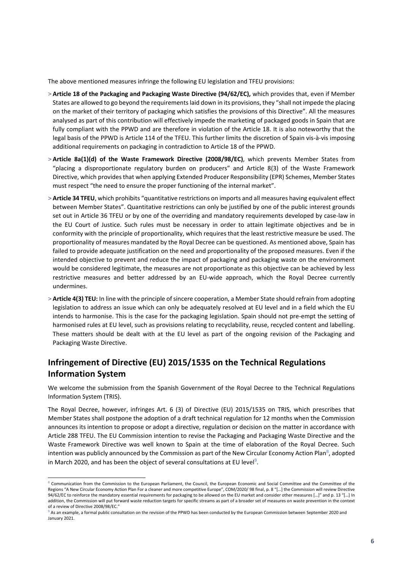The above mentioned measures infringe the following EU legislation and TFEU provisions:

- > **Article 18 of the Packaging and Packaging Waste Directive (94/62/EC),** which provides that, even if Member States are allowed to go beyond the requirements laid down in its provisions, they "shall not impede the placing on the market of their territory of packaging which satisfies the provisions of this Directive". All the measures analysed as part of this contribution will effectively impede the marketing of packaged goods in Spain that are fully compliant with the PPWD and are therefore in violation of the Article 18. It is also noteworthy that the legal basis of the PPWD is Article 114 of the TFEU. This further limits the discretion of Spain vis-à-vis imposing additional requirements on packaging in contradiction to Article 18 of the PPWD.
- > **Article 8a(1)(d) of the Waste Framework Directive (2008/98/EC)**, which prevents Member States from "placing a disproportionate regulatory burden on producers" and Article 8(3) of the Waste Framework Directive, which provides that when applying Extended Producer Responsibility (EPR) Schemes, Member States must respect "the need to ensure the proper functioning of the internal market".
- > **Article 34 TFEU**, which prohibits "quantitative restrictions on imports and all measures having equivalent effect between Member States". Quantitative restrictions can only be justified by one of the public interest grounds set out in Article 36 TFEU or by one of the overriding and mandatory requirements developed by case-law in the EU Court of Justice. Such rules must be necessary in order to attain legitimate objectives and be in conformity with the principle of proportionality, which requires that the least restrictive measure be used. The proportionality of measures mandated by the Royal Decree can be questioned. As mentioned above, Spain has failed to provide adequate justification on the need and proportionality of the proposed measures. Even if the intended objective to prevent and reduce the impact of packaging and packaging waste on the environment would be considered legitimate, the measures are not proportionate as this objective can be achieved by less restrictive measures and better addressed by an EU-wide approach, which the Royal Decree currently undermines.
- > **Article 4(3) TEU:** In line with the principle of sincere cooperation, a Member State should refrain from adopting legislation to address an issue which can only be adequately resolved at EU level and in a field which the EU intends to harmonise. This is the case for the packaging legislation. Spain should not pre-empt the setting of harmonised rules at EU level, such as provisions relating to recyclability, reuse, recycled content and labelling. These matters should be dealt with at the EU level as part of the ongoing revision of the Packaging and Packaging Waste Directive.

## **Infringement of Directive (EU) 2015/1535 on the Technical Regulations Information System**

We welcome the submission from the Spanish Government of the Royal Decree to the Technical Regulations Information System (TRIS).

The Royal Decree, however, infringes Art. 6 (3) of Directive (EU) 2015/1535 on TRIS, which prescribes that Member States shall postpone the adoption of a draft technical regulation for 12 months when the Commission announces its intention to propose or adopt a directive, regulation or decision on the matter in accordance with Article 288 TFEU. The EU Commission intention to revise the Packaging and Packaging Waste Directive and the Waste Framework Directive was well known to Spain at the time of elaboration of the Royal Decree. Such intention was publicly announced by the Commission as part of the New Circular Economy Action Plan $^8$ , adopted in March 2020, and has been the object of several consultations at EU level<sup>9</sup>.

<sup>&</sup>lt;sup>8</sup> Communication from the Commission to the European Parliament, the Council, the European Economic and Social Committee and the Committee of the Regions "A New Circular Economy Action Plan For a cleaner and more competitive Europe", COM/2020/98 final, p. 8 "[...] the Commission will review Directive 94/62/EC to reinforce the mandatory essential requirements for packaging to be allowed on the EU market and consider other measures [...]" and p. 13 "[...] In addition, the Commission will put forward waste reduction targets for specific streams as part of a broader set of measures on waste prevention in the context of a review of Directive 2008/98/EC."

 $^9$  As an example, a formal public consultation on the revision of the PPWD has been conducted by the European Commission between September 2020 and January 2021.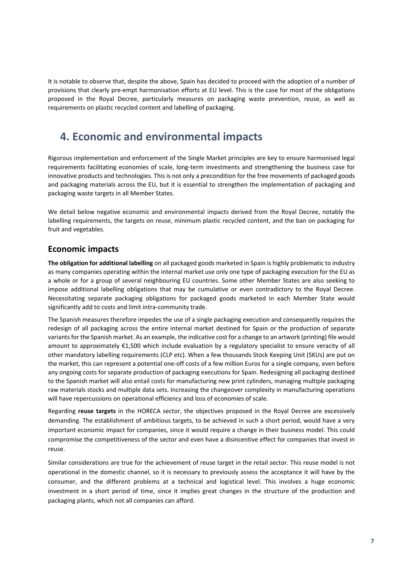It is notable to observe that, despite the above, Spain has decided to proceed with the adoption of a number of provisions that clearly pre-empt harmonisation efforts at EU level. This is the case for most of the obligations proposed in the Royal Decree, particularly measures on packaging waste prevention, reuse, as well as requirements on plastic recycled content and labelling of packaging.

## **4. Economic and environmental impacts**

Rigorous implementation and enforcement of the Single Market principles are key to ensure harmonised legal requirements facilitating economies of scale, long-term investments and strengthening the business case for innovative products and technologies. This is not only a precondition for the free movements of packaged goods and packaging materials across the EU, but it is essential to strengthen the implementation of packaging and packaging waste targets in all Member States.

We detail below negative economic and environmental impacts derived from the Royal Decree, notably the labelling requirements, the targets on reuse, minimum plastic recycled content, and the ban on packaging for fruit and vegetables.

## **Economic impacts**

**The obligation for additional labelling** on all packaged goods marketed in Spain is highly problematic to industry as many companies operating within the internal market use only one type of packaging execution for the EU as a whole or for a group of several neighbouring EU countries. Some other Member States are also seeking to impose additional labelling obligations that may be cumulative or even contradictory to the Royal Decree. Necessitating separate packaging obligations for packaged goods marketed in each Member State would significantly add to costs and limit intra-community trade.

The Spanish measures therefore impedes the use of a single packaging execution and consequently requires the redesign of all packaging across the entire internal market destined for Spain or the production of separate variants for the Spanish market. As an example, the indicative cost for a change to an artwork (printing) file would amount to approximately €1,500 which include evaluation by a regulatory specialist to ensure veracity of all other mandatory labelling requirements (CLP etc). When a few thousands Stock Keeping Unit (SKUs) are put on the market, this can represent a potential one-off costs of a few million Euros for a single company, even before any ongoing costs for separate production of packaging executions for Spain. Redesigning all packaging destined to the Spanish market will also entail costs for manufacturing new print cylinders, managing multiple packaging raw materials stocks and multiple data sets. Increasing the changeover complexity in manufacturing operations will have repercussions on operational efficiency and loss of economies of scale.

Regarding **reuse targets** in the HORECA sector, the objectives proposed in the Royal Decree are excessively demanding. The establishment of ambitious targets, to be achieved in such a short period, would have a very important economic impact for companies, since it would require a change in their business model. This could compromise the competitiveness of the sector and even have a disincentive effect for companies that invest in reuse.

Similar considerations are true for the achievement of reuse target in the retail sector. This reuse model is not operational in the domestic channel, so it is necessary to previously assess the acceptance it will have by the consumer, and the different problems at a technical and logistical level. This involves a huge economic investment in a short period of time, since it implies great changes in the structure of the production and packaging plants, which not all companies can afford.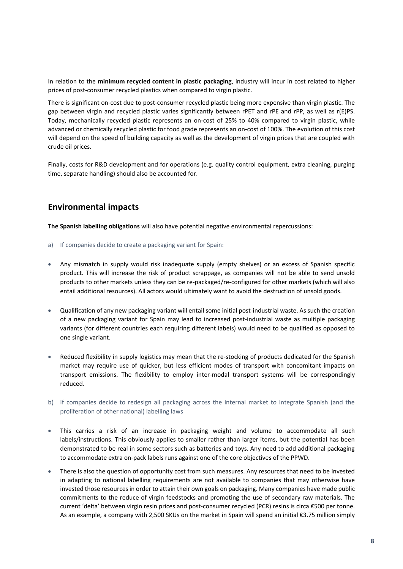In relation to the **minimum recycled content in plastic packaging**, industry will incur in cost related to higher prices of post-consumer recycled plastics when compared to virgin plastic.

There is significant on-cost due to post-consumer recycled plastic being more expensive than virgin plastic. The gap between virgin and recycled plastic varies significantly between rPET and rPE and rPP, as well as r(E)PS. Today, mechanically recycled plastic represents an on-cost of 25% to 40% compared to virgin plastic, while advanced or chemically recycled plastic for food grade represents an on-cost of 100%. The evolution of this cost will depend on the speed of building capacity as well as the development of virgin prices that are coupled with crude oil prices.

Finally, costs for R&D development and for operations (e.g. quality control equipment, extra cleaning, purging time, separate handling) should also be accounted for.

### **Environmental impacts**

**The Spanish labelling obligations** will also have potential negative environmental repercussions:

- a) If companies decide to create a packaging variant for Spain:
- Any mismatch in supply would risk inadequate supply (empty shelves) or an excess of Spanish specific product. This will increase the risk of product scrappage, as companies will not be able to send unsold products to other markets unless they can be re-packaged/re-configured for other markets (which will also entail additional resources). All actors would ultimately want to avoid the destruction of unsold goods.
- Qualification of any new packaging variant will entail some initial post-industrial waste. As such the creation of a new packaging variant for Spain may lead to increased post-industrial waste as multiple packaging variants (for different countries each requiring different labels) would need to be qualified as opposed to one single variant.
- Reduced flexibility in supply logistics may mean that the re-stocking of products dedicated for the Spanish market may require use of quicker, but less efficient modes of transport with concomitant impacts on transport emissions. The flexibility to employ inter-modal transport systems will be correspondingly reduced.
- b) If companies decide to redesign all packaging across the internal market to integrate Spanish (and the proliferation of other national) labelling laws
- This carries a risk of an increase in packaging weight and volume to accommodate all such labels/instructions. This obviously applies to smaller rather than larger items, but the potential has been demonstrated to be real in some sectors such as batteries and toys. Any need to add additional packaging to accommodate extra on-pack labels runs against one of the core objectives of the PPWD.
- There is also the question of opportunity cost from such measures. Any resources that need to be invested in adapting to national labelling requirements are not available to companies that may otherwise have invested those resources in order to attain their own goals on packaging. Many companies have made public commitments to the reduce of virgin feedstocks and promoting the use of secondary raw materials. The current 'delta' between virgin resin prices and post-consumer recycled (PCR) resins is circa €500 per tonne. As an example, a company with 2,500 SKUs on the market in Spain will spend an initial €3.75 million simply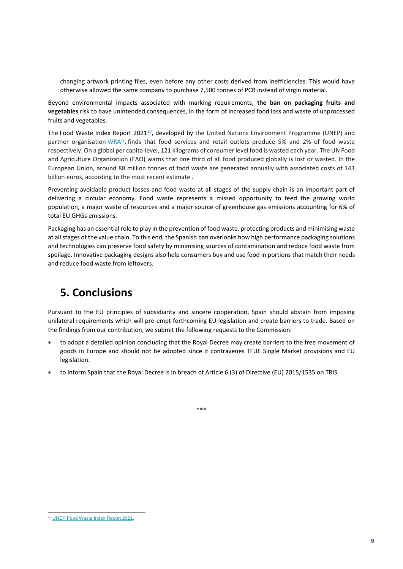changing artwork printing files, even before any other costs derived from inefficiencies. This would have otherwise allowed the same company to purchase 7,500 tonnes of PCR instead of virgin material.

Beyond environmental impacts associated with marking requirements, **the ban on packaging fruits and vegetables** risk to have unintended consequences, in the form of increased food loss and waste of unprocessed fruits and vegetables.

The Food Waste Index Report 2021<sup>10</sup>, developed by the United Nations Environment Programme (UNEP) and partner organisation [WRAP](https://wrap.org.uk/), finds that food services and retail outlets produce 5% and 2% of food waste respectively. On a global per capita-level, 121 kilograms of consumer level food is wasted each year. The UN Food and Agriculture Organization (FAO) warns that one third of all food produced globally is lost or wasted. In the European Union, around 88 million tonnes of food waste are generated annually with associated costs of 143 billion euros, according to the most recent estimate .

Preventing avoidable product losses and food waste at all stages of the supply chain is an important part of delivering a circular economy. Food waste represents a missed opportunity to feed the growing world population, a major waste of resources and a major source of greenhouse gas emissions accounting for 6% of total EU GHGs emissions.

Packaging has an essential role to play in the prevention of food waste, protecting products and minimising waste at all stages of the value chain. To this end, the Spanish ban overlooks how high performance packaging solutions and technologies can preserve food safety by minimising sources of contamination and reduce food waste from spoilage. Innovative packaging designs also help consumers buy and use food in portions that match their needs and reduce food waste from leftovers.

# **5. Conclusions**

Pursuant to the EU principles of subsidiarity and sincere cooperation, Spain should abstain from imposing unilateral requirements which will pre-empt forthcoming EU legislation and create barriers to trade. Based on the findings from our contribution, we submit the following requests to the Commission:

- to adopt a detailed opinion concluding that the Royal Decree may create barriers to the free movement of goods in Europe and should not be adopted since it contravenes TFUE Single Market provisions and EU legislation.
- to inform Spain that the Royal Decree is in breach of Article 6 (3) of Directive (EU) 2015/1535 on TRIS.

<sup>\*\*\*</sup>

<sup>10</sup> [UNEP Food Waste Index Report 2021](https://www.unep.org/resources/report/unep-food-waste-index-report-2021).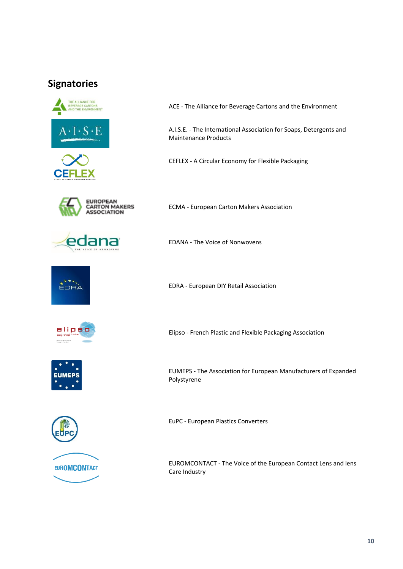## **Signatories**





ACE - The Alliance for Beverage Cartons and the Environment

A.I.S.E. - The International Association for Soaps, Detergents and Maintenance Products

CEFLEX - A Circular Economy for Flexible Packaging



 $\blacksquare$ 

ECMA - European Carton Makers Association

EDANA - The Voice of Nonwovens



EDRA - European DIY Retail Association



Elipso - French Plastic and Flexible Packaging Association



EUMEPS - The Association for European Manufacturers of Expanded Polystyrene



EuPC - European Plastics Converters

EUROMCONTACT - The Voice of the European Contact Lens and lens Care Industry